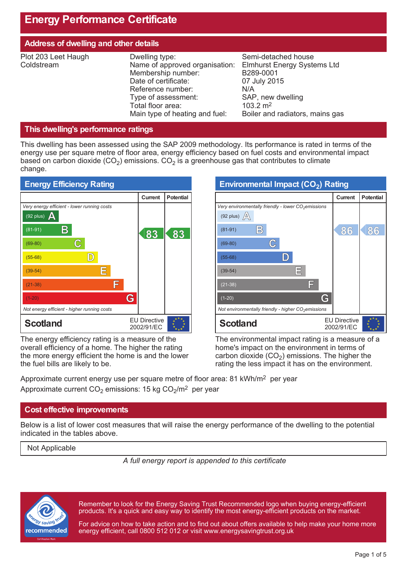# **Energy Performance Certificate**

| <b>Address of dwelling and other details</b> |                                                                                                                                                                                                   |                                                                                                                                                                              |  |  |
|----------------------------------------------|---------------------------------------------------------------------------------------------------------------------------------------------------------------------------------------------------|------------------------------------------------------------------------------------------------------------------------------------------------------------------------------|--|--|
| Plot 203 Leet Haugh<br>Coldstream            | Dwelling type:<br>Name of approved organisation:<br>Membership number:<br>Date of certificate:<br>Reference number:<br>Type of assessment:<br>Total floor area:<br>Main type of heating and fuel: | Semi-detached house<br><b>Elmhurst Energy Systems Ltd</b><br>B289-0001<br>07 July 2015<br>N/A<br>SAP, new dwelling<br>$103.2 \text{ m}^2$<br>Boiler and radiators, mains gas |  |  |

## **This dwelling's performance ratings**

This dwelling has been assessed using the SAP 2009 methodology. Its performance is rated in terms of the energy use per square metre of floor area, energy efficiency based on fuel costs and environmental impact based on carbon dioxide (CO<sub>2</sub>) emissions. CO<sub>2</sub> is a greenhouse gas that contributes to climate change.



The energy efficiency rating is a measure of the overall efficiency of a home. The higher the rating the more energy efficient the home is and the lower the fuel bills are likely to be.

| <b>Environmental Impact (CO2) Rating</b>                                        |                                   |                  |  |
|---------------------------------------------------------------------------------|-----------------------------------|------------------|--|
|                                                                                 | <b>Current</b>                    | <b>Potential</b> |  |
| Very environmentally friendly - lower $CO2$ emissions<br>(92 plus) $\mathbb{A}$ |                                   |                  |  |
| $\mathbb{B}$<br>$(81-91)$                                                       | 86                                | 86               |  |
| C<br>$(69-80)$                                                                  |                                   |                  |  |
| $(55-68)$                                                                       |                                   |                  |  |
| 巨<br>$(39-54)$                                                                  |                                   |                  |  |
| F<br>$(21-38)$                                                                  |                                   |                  |  |
| G<br>$(1-20)$                                                                   |                                   |                  |  |
| Not environmentally friendly - higher $CO2$ emissions                           |                                   |                  |  |
| <b>Scotland</b>                                                                 | <b>EU Directive</b><br>2002/91/EC |                  |  |

The environmental impact rating is a measure of a home's impact on the environment in terms of carbon dioxide  $(CO_2)$  emissions. The higher the rating the less impact it has on the environment.

Approximate current energy use per square metre of floor area: 81 kWh/m<sup>2</sup> per year Approximate current CO<sub>2</sub> emissions: 15 kg CO<sub>2</sub>/m<sup>2</sup> per year

## **Cost effective improvements**

Below is a list of lower cost measures that will raise the energy performance of the dwelling to the potential indicated in the tables above.

Not Applicable

*A full energy report is appended to this certificate*



Remember to look for the Energy Saving Trust Recommended logo when buying energy-efficient products. It's a quick and easy way to identify the most energy-efficient products on the market.

For advice on how to take action and to find out about offers available to help make your home more energy efficient, call 0800 512 012 or visit www.energysavingtrust.org.uk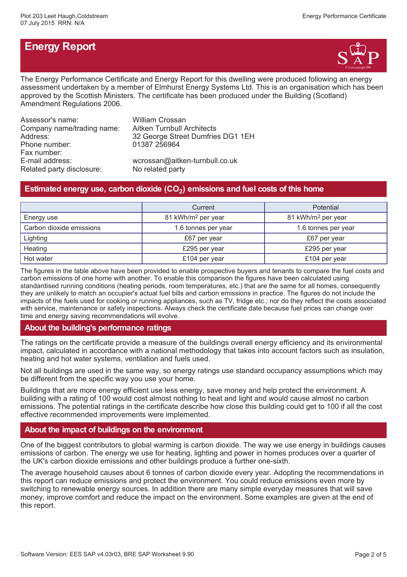# **Energy Report**



The Energy Performance Certificate and Energy Report for this dwelling were produced following an energy assessment undertaken by a member of Elmhurst Energy Systems Ltd. This is an organisation which has been approved by the Scottish Ministers. The certificate has been produced under the Building (Scotland) Amendment Regulations 2006.

| Assessor's name:           | <b>William Crossan</b>            |
|----------------------------|-----------------------------------|
| Company name/trading name: | <b>Aitken Turnbull Architects</b> |
| Address:                   | 32 George Street Dumfries DG1 1EH |
| Phone number:              | 01387 256964                      |
| Fax number:                |                                   |
| E-mail address:            | wcrossan@aitken-turnbull.co.uk    |
| Related party disclosure:  | No related party                  |

# **Estimated energy use, carbon dioxide (CO<sup>2</sup> ) emissions and fuel costs of this home**

|                          | Current                        | <b>Potential</b>               |  |
|--------------------------|--------------------------------|--------------------------------|--|
| Energy use               | 81 kWh/m <sup>2</sup> per year | 81 kWh/m <sup>2</sup> per year |  |
| Carbon dioxide emissions | 1.6 tonnes per year            | 1.6 tonnes per year            |  |
| Lighting                 | £67 per year                   | £67 per year                   |  |
| Heating                  | £295 per year                  | £295 per year                  |  |
| Hot water                | £104 per year                  | £104 per year                  |  |

The figures in the table above have been provided to enable prospective buyers and tenants to compare the fuel costs and carbon emissions of one home with another. To enable this comparison the figures have been calculated using standardised running conditions (heating periods, room temperatures, etc.) that are the same for all homes, consequently they are unlikely to match an occupier's actual fuel bills and carbon emissions in practice. The figures do not include the impacts of the fuels used for cooking or running appliances, such as TV, fridge etc.; nor do they reflect the costs associated with service, maintenance or safety inspections. Always check the certificate date because fuel prices can change over time and energy saving recommendations will evolve.

## **About the building's performance ratings**

The ratings on the certificate provide a measure of the buildings overall energy efficiency and its environmental impact, calculated in accordance with a national methodology that takes into account factors such as insulation, heating and hot water systems, ventilation and fuels used.

Not all buildings are used in the same way, so energy ratings use standard occupancy assumptions which may be different from the specific way you use your home.

Buildings that are more energy efficient use less energy, save money and help protect the environment. A building with a rating of 100 would cost almost nothing to heat and light and would cause almost no carbon emissions. The potential ratings in the certificate describe how close this building could get to 100 if all the cost effective recommended improvements were implemented.

## **About the impact of buildings on the environment**

One of the biggest contributors to global warming is carbon dioxide. The way we use energy in buildings causes emissions of carbon. The energy we use for heating, lighting and power in homes produces over a quarter of the UK's carbon dioxide emissions and other buildings produce a further one-sixth.

The average household causes about 6 tonnes of carbon dioxide every year. Adopting the recommendations in this report can reduce emissions and protect the environment. You could reduce emissions even more by switching to renewable energy sources. In addition there are many simple everyday measures that will save money, improve comfort and reduce the impact on the environment. Some examples are given at the end of this report.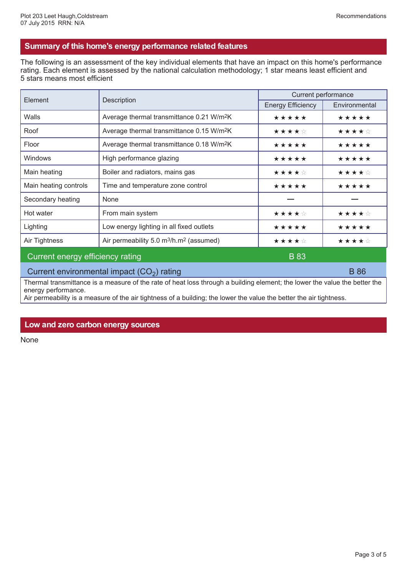## **Summary of this home's energy performance related features**

The following is an assessment of the key individual elements that have an impact on this home's performance rating. Each element is assessed by the national calculation methodology; 1 star means least efficient and 5 stars means most efficient

| Element                                     | Description                                                     | Current performance      |               |  |
|---------------------------------------------|-----------------------------------------------------------------|--------------------------|---------------|--|
|                                             |                                                                 | <b>Energy Efficiency</b> | Environmental |  |
| Walls                                       | Average thermal transmittance 0.21 W/m <sup>2</sup> K           | *****                    | *****         |  |
| Roof                                        | Average thermal transmittance 0.15 W/m <sup>2</sup> K           | ★★★★☆                    | ★★★★☆         |  |
| Floor                                       | Average thermal transmittance 0.18 W/m <sup>2</sup> K           | *****                    | *****         |  |
| Windows                                     | High performance glazing                                        | *****                    | *****         |  |
| Main heating                                | Boiler and radiators, mains gas                                 | ★★★★☆                    | ★★★★☆         |  |
| Main heating controls                       | Time and temperature zone control                               | *****                    | *****         |  |
| Secondary heating                           | None                                                            |                          |               |  |
| Hot water                                   | From main system                                                | ★★★★☆                    | ★★★★☆         |  |
| Lighting                                    | Low energy lighting in all fixed outlets                        | *****                    | *****         |  |
| Air Tightness                               | Air permeability 5.0 m <sup>3</sup> /h.m <sup>2</sup> (assumed) | ★★★★☆                    | ★★★★☆         |  |
| Current energy efficiency rating            |                                                                 | <b>B</b> 83              |               |  |
| Current environmental impact $(CO2)$ rating |                                                                 |                          | <b>B</b> 86   |  |

Thermal transmittance is a measure of the rate of heat loss through a building element; the lower the value the better the energy performance.

Air permeability is a measure of the air tightness of a building; the lower the value the better the air tightness.

#### **Low and zero carbon energy sources**

None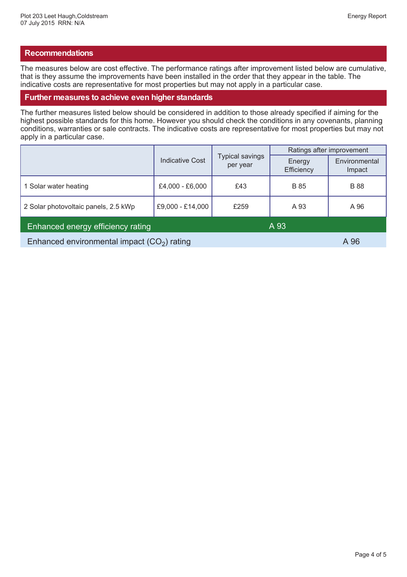## **Recommendations**

The measures below are cost effective. The performance ratings after improvement listed below are cumulative, that is they assume the improvements have been installed in the order that they appear in the table. The indicative costs are representative for most properties but may not apply in a particular case.

#### **Further measures to achieve even higher standards**

The further measures listed below should be considered in addition to those already specified if aiming for the highest possible standards for this home. However you should check the conditions in any covenants, planning conditions, warranties or sale contracts. The indicative costs are representative for most properties but may not apply in a particular case.

|                                              |                        | <b>Typical savings</b><br>per year | Ratings after improvement |                         |
|----------------------------------------------|------------------------|------------------------------------|---------------------------|-------------------------|
|                                              | <b>Indicative Cost</b> |                                    | Energy<br>Efficiency      | Environmental<br>Impact |
| 1 Solar water heating                        | £4,000 - £6,000        | £43                                | <b>B</b> 85               | <b>B</b> 88             |
| 2 Solar photovoltaic panels, 2.5 kWp         | £9,000 - £14,000       | £259                               | A 93                      | A 96                    |
| Enhanced energy efficiency rating            |                        |                                    | A 93                      |                         |
| Enhanced environmental impact $(CO2)$ rating |                        |                                    | A 96                      |                         |